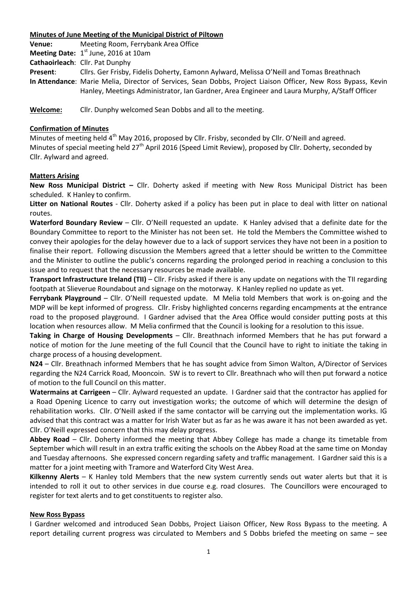### **Minutes of June Meeting of the Municipal District of Piltown**

**Venue:** Meeting Room, Ferrybank Area Office

**Meeting Date:** 1<sup>st</sup> June, 2016 at 10am

**Cathaoirleach**: Cllr. Pat Dunphy

**Present**: Cllrs. Ger Frisby, Fidelis Doherty, Eamonn Aylward, Melissa O'Neill and Tomas Breathnach **In Attendance**: Marie Melia, Director of Services, Sean Dobbs, Project Liaison Officer, New Ross Bypass, Kevin Hanley, Meetings Administrator, Ian Gardner, Area Engineer and Laura Murphy, A/Staff Officer

**Welcome:** Cllr. Dunphy welcomed Sean Dobbs and all to the meeting.

## **Confirmation of Minutes**

Minutes of meeting held 4<sup>th</sup> May 2016, proposed by Cllr. Frisby, seconded by Cllr. O'Neill and agreed. Minutes of special meeting held 27<sup>th</sup> April 2016 (Speed Limit Review), proposed by Cllr. Doherty, seconded by Cllr. Aylward and agreed.

# **Matters Arising**

**New Ross Municipal District –** Cllr. Doherty asked if meeting with New Ross Municipal District has been scheduled. K Hanley to confirm.

**Litter on National Routes** - Cllr. Doherty asked if a policy has been put in place to deal with litter on national routes.

**Waterford Boundary Review** – Cllr. O'Neill requested an update. K Hanley advised that a definite date for the Boundary Committee to report to the Minister has not been set. He told the Members the Committee wished to convey their apologies for the delay however due to a lack of support services they have not been in a position to finalise their report. Following discussion the Members agreed that a letter should be written to the Committee and the Minister to outline the public's concerns regarding the prolonged period in reaching a conclusion to this issue and to request that the necessary resources be made available.

**Transport Infrastructure Ireland (TII)** – Cllr. Frisby asked if there is any update on negations with the TII regarding footpath at Slieverue Roundabout and signage on the motorway. K Hanley replied no update as yet.

**Ferrybank Playground** – Cllr. O'Neill requested update. M Melia told Members that work is on-going and the MDP will be kept informed of progress. Cllr. Frisby highlighted concerns regarding encampments at the entrance road to the proposed playground. I Gardner advised that the Area Office would consider putting posts at this location when resources allow. M Melia confirmed that the Council is looking for a resolution to this issue.

**Taking in Charge of Housing Developments** – Cllr. Breathnach informed Members that he has put forward a notice of motion for the June meeting of the full Council that the Council have to right to initiate the taking in charge process of a housing development.

**N24** – Cllr. Breathnach informed Members that he has sought advice from Simon Walton, A/Director of Services regarding the N24 Carrick Road, Mooncoin. SW is to revert to Cllr. Breathnach who will then put forward a notice of motion to the full Council on this matter.

**Watermains at Carrigeen** – Cllr. Aylward requested an update. I Gardner said that the contractor has applied for a Road Opening Licence to carry out investigation works; the outcome of which will determine the design of rehabilitation works. Cllr. O'Neill asked if the same contactor will be carrying out the implementation works. IG advised that this contract was a matter for Irish Water but as far as he was aware it has not been awarded as yet. Cllr. O'Neill expressed concern that this may delay progress.

**Abbey Road** – Cllr. Doherty informed the meeting that Abbey College has made a change its timetable from September which will result in an extra traffic exiting the schools on the Abbey Road at the same time on Monday and Tuesday afternoons. She expressed concern regarding safety and traffic management. I Gardner said this is a matter for a joint meeting with Tramore and Waterford City West Area.

**Kilkenny Alerts** – K Hanley told Members that the new system currently sends out water alerts but that it is intended to roll it out to other services in due course e.g. road closures. The Councillors were encouraged to register for text alerts and to get constituents to register also.

## **New Ross Bypass**

I Gardner welcomed and introduced Sean Dobbs, Project Liaison Officer, New Ross Bypass to the meeting. A report detailing current progress was circulated to Members and S Dobbs briefed the meeting on same – see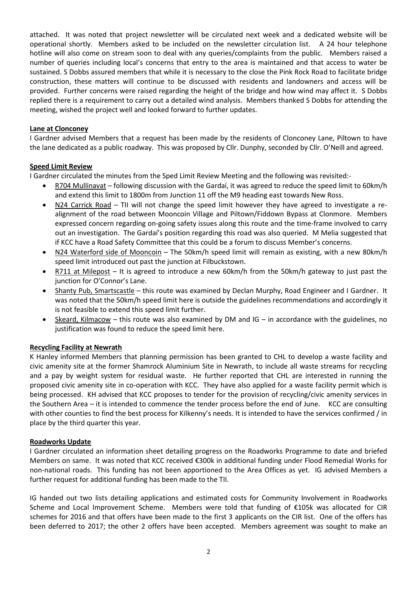attached. It was noted that project newsletter will be circulated next week and a dedicated website will be operational shortly. Members asked to be included on the newsletter circulation list. A 24 hour telephone hotline will also come on stream soon to deal with any queries/complaints from the public. Members raised a number of queries including local's concerns that entry to the area is maintained and that access to water be sustained. S Dobbs assured members that while it is necessary to the close the Pink Rock Road to facilitate bridge construction, these matters will continue to be discussed with residents and landowners and access will be provided. Further concerns were raised regarding the height of the bridge and how wind may affect it. S Dobbs replied there is a requirement to carry out a detailed wind analysis. Members thanked S Dobbs for attending the meeting, wished the project well and looked forward to further updates.

### **Lane at Clonconey**

I Gardner advised Members that a request has been made by the residents of Clonconey Lane, Piltown to have the lane dedicated as a public roadway. This was proposed by Cllr. Dunphy, seconded by Cllr. O'Neill and agreed.

## **Speed Limit Review**

I Gardner circulated the minutes from the Sped Limit Review Meeting and the following was revisited:-

- R704 Mullinavat following discussion with the Gardaí, it was agreed to reduce the speed limit to 60km/h and extend this limit to 1800m from Junction 11 off the M9 heading east towards New Ross.
- N24 Carrick Road TII will not change the speed limit however they have agreed to investigate a realignment of the road between Mooncoin Village and Piltown/Fiddown Bypass at Clonmore. Members expressed concern regarding on-going safety issues along this route and the time-frame involved to carry out an investigation. The Gardaí's position regarding this road was also queried. M Melia suggested that if KCC have a Road Safety Committee that this could be a forum to discuss Member's concerns.
- N24 Waterford side of Mooncoin The 50km/h speed limit will remain as existing, with a new 80km/h speed limit introduced out past the junction at Filbuckstown.
- R711 at Milepost It is agreed to introduce a new 60km/h from the 50km/h gateway to just past the junction for O'Connor's Lane.
- Shanty Pub, Smartscastle this route was examined by Declan Murphy, Road Engineer and I Gardner. It was noted that the 50km/h speed limit here is outside the guidelines recommendations and accordingly it is not feasible to extend this speed limit further.
- Skeard, Kilmacow this route was also examined by DM and  $IG in$  accordance with the guidelines, no justification was found to reduce the speed limit here.

#### **Recycling Facility at Newrath**

K Hanley informed Members that planning permission has been granted to CHL to develop a waste facility and civic amenity site at the former Shamrock Aluminium Site in Newrath, to include all waste streams for recycling and a pay by weight system for residual waste. He further reported that CHL are interested in running the proposed civic amenity site in co-operation with KCC. They have also applied for a waste facility permit which is being processed. KH advised that KCC proposes to tender for the provision of recycling/civic amenity services in the Southern Area – it is intended to commence the tender process before the end of June. KCC are consulting with other counties to find the best process for Kilkenny's needs. It is intended to have the services confirmed / in place by the third quarter this year.

#### **Roadworks Update**

I Gardner circulated an information sheet detailing progress on the Roadworks Programme to date and briefed Members on same. It was noted that KCC received €300k in additional funding under Flood Remedial Works for non-national roads. This funding has not been apportioned to the Area Offices as yet. IG advised Members a further request for additional funding has been made to the TII.

IG handed out two lists detailing applications and estimated costs for Community Involvement in Roadworks Scheme and Local Improvement Scheme. Members were told that funding of €105k was allocated for CIR schemes for 2016 and that offers have been made to the first 3 applicants on the CIR list. One of the offers has been deferred to 2017; the other 2 offers have been accepted. Members agreement was sought to make an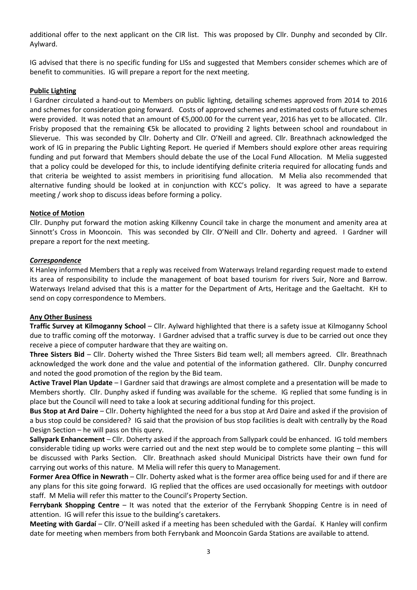additional offer to the next applicant on the CIR list. This was proposed by Cllr. Dunphy and seconded by Cllr. Aylward.

IG advised that there is no specific funding for LISs and suggested that Members consider schemes which are of benefit to communities. IG will prepare a report for the next meeting.

### **Public Lighting**

I Gardner circulated a hand-out to Members on public lighting, detailing schemes approved from 2014 to 2016 and schemes for consideration going forward. Costs of approved schemes and estimated costs of future schemes were provided. It was noted that an amount of €5,000.00 for the current year, 2016 has yet to be allocated. Cllr. Frisby proposed that the remaining €5k be allocated to providing 2 lights between school and roundabout in Slieverue. This was seconded by Cllr. Doherty and Cllr. O'Neill and agreed. Cllr. Breathnach acknowledged the work of IG in preparing the Public Lighting Report. He queried if Members should explore other areas requiring funding and put forward that Members should debate the use of the Local Fund Allocation. M Melia suggested that a policy could be developed for this, to include identifying definite criteria required for allocating funds and that criteria be weighted to assist members in prioritising fund allocation. M Melia also recommended that alternative funding should be looked at in conjunction with KCC's policy. It was agreed to have a separate meeting / work shop to discuss ideas before forming a policy.

## **Notice of Motion**

Cllr. Dunphy put forward the motion asking Kilkenny Council take in charge the monument and amenity area at Sinnott's Cross in Mooncoin. This was seconded by Cllr. O'Neill and Cllr. Doherty and agreed. I Gardner will prepare a report for the next meeting.

## *Correspondence*

K Hanley informed Members that a reply was received from Waterways Ireland regarding request made to extend its area of responsibility to include the management of boat based tourism for rivers Suir, Nore and Barrow. Waterways Ireland advised that this is a matter for the Department of Arts, Heritage and the Gaeltacht. KH to send on copy correspondence to Members.

#### **Any Other Business**

**Traffic Survey at Kilmoganny School** *–* Cllr. Aylward highlighted that there is a safety issue at Kilmoganny School due to traffic coming off the motorway. I Gardner advised that a traffic survey is due to be carried out once they receive a piece of computer hardware that they are waiting on.

**Three Sisters Bid** – Cllr. Doherty wished the Three Sisters Bid team well; all members agreed. Cllr. Breathnach acknowledged the work done and the value and potential of the information gathered. Cllr. Dunphy concurred and noted the good promotion of the region by the Bid team.

**Active Travel Plan Update** – I Gardner said that drawings are almost complete and a presentation will be made to Members shortly. Cllr. Dunphy asked if funding was available for the scheme. IG replied that some funding is in place but the Council will need to take a look at securing additional funding for this project.

**Bus Stop at Ard Daire** – Cllr. Doherty highlighted the need for a bus stop at Ard Daire and asked if the provision of a bus stop could be considered? IG said that the provision of bus stop facilities is dealt with centrally by the Road Design Section – he will pass on this query.

**Sallypark Enhancement** – Cllr. Doherty asked if the approach from Sallypark could be enhanced. IG told members considerable tiding up works were carried out and the next step would be to complete some planting – this will be discussed with Parks Section. Cllr. Breathnach asked should Municipal Districts have their own fund for carrying out works of this nature. M Melia will refer this query to Management.

**Former Area Office in Newrath** – Cllr. Doherty asked what is the former area office being used for and if there are any plans for this site going forward. IG replied that the offices are used occasionally for meetings with outdoor staff. M Melia will refer this matter to the Council's Property Section.

**Ferrybank Shopping Centre** – It was noted that the exterior of the Ferrybank Shopping Centre is in need of attention. IG will refer this issue to the building's caretakers.

**Meeting with Gardaí** – Cllr. O'Neill asked if a meeting has been scheduled with the Gardaí. K Hanley will confirm date for meeting when members from both Ferrybank and Mooncoin Garda Stations are available to attend.